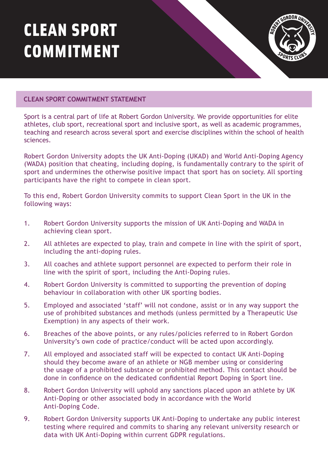## CLEAN SPORT COMMITMENT



## **CLEAN SPORT COMMITMENT STATEMENT**

Sport is a central part of life at Robert Gordon University. We provide opportunities for elite athletes, club sport, recreational sport and inclusive sport, as well as academic programmes, teaching and research across several sport and exercise disciplines within the school of health sciences.

Robert Gordon University adopts the UK Anti-Doping (UKAD) and World Anti-Doping Agency (WADA) position that cheating, including doping, is fundamentally contrary to the spirit of sport and undermines the otherwise positive impact that sport has on society. All sporting participants have the right to compete in clean sport.

To this end, Robert Gordon University commits to support Clean Sport in the UK in the following ways:

- 1. Robert Gordon University supports the mission of UK Anti-Doping and WADA in achieving clean sport.
- 2. All athletes are expected to play, train and compete in line with the spirit of sport, including the anti-doping rules.
- 3. All coaches and athlete support personnel are expected to perform their role in line with the spirit of sport, including the Anti-Doping rules.
- 4. Robert Gordon University is committed to supporting the prevention of doping behaviour in collaboration with other UK sporting bodies.
- 5. Employed and associated 'staff' will not condone, assist or in any way support the use of prohibited substances and methods (unless permitted by a Therapeutic Use Exemption) in any aspects of their work.
- 6. Breaches of the above points, or any rules/policies referred to in Robert Gordon University's own code of practice/conduct will be acted upon accordingly.
- 7. All employed and associated staff will be expected to contact UK Anti-Doping should they become aware of an athlete or NGB member using or considering the usage of a prohibited substance or prohibited method. This contact should be done in confidence on the dedicated confidential Report Doping in Sport line.
- 8. Robert Gordon University will uphold any sanctions placed upon an athlete by UK Anti-Doping or other associated body in accordance with the World Anti-Doping Code.
- 9. Robert Gordon University supports UK Anti-Doping to undertake any public interest testing where required and commits to sharing any relevant university research or data with UK Anti-Doping within current GDPR regulations.